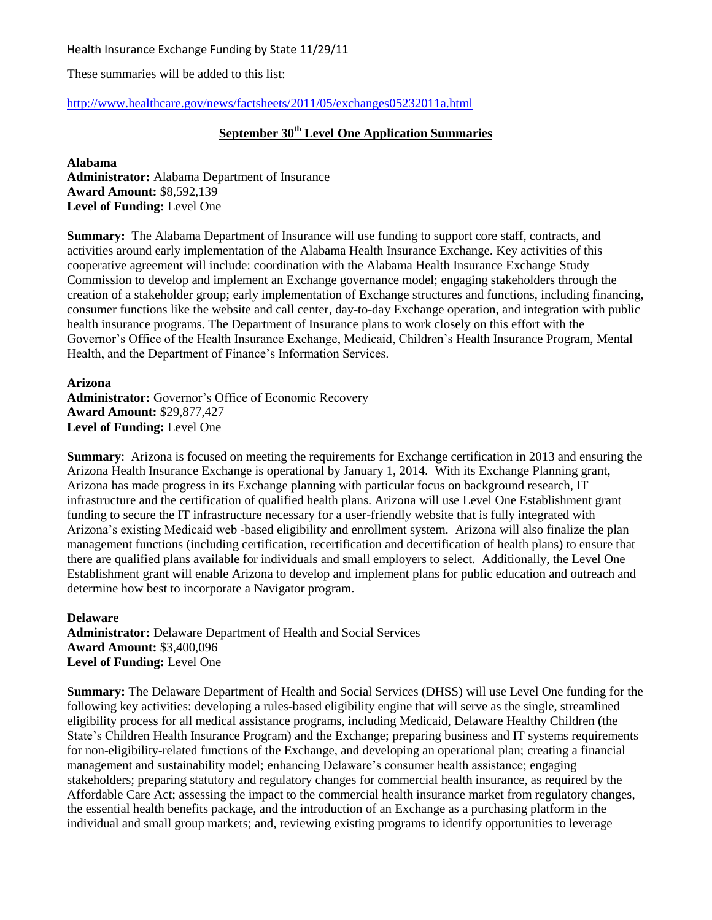These summaries will be added to this list:

<http://www.healthcare.gov/news/factsheets/2011/05/exchanges05232011a.html>

# **September 30th Level One Application Summaries**

**Alabama Administrator:** Alabama Department of Insurance **Award Amount:** \$8,592,139 **Level of Funding:** Level One

**Summary:** The Alabama Department of Insurance will use funding to support core staff, contracts, and activities around early implementation of the Alabama Health Insurance Exchange. Key activities of this cooperative agreement will include: coordination with the Alabama Health Insurance Exchange Study Commission to develop and implement an Exchange governance model; engaging stakeholders through the creation of a stakeholder group; early implementation of Exchange structures and functions, including financing, consumer functions like the website and call center, day-to-day Exchange operation, and integration with public health insurance programs. The Department of Insurance plans to work closely on this effort with the Governor's Office of the Health Insurance Exchange, Medicaid, Children's Health Insurance Program, Mental Health, and the Department of Finance's Information Services.

**Arizona**

**Administrator:** Governor's Office of Economic Recovery **Award Amount:** \$29,877,427 **Level of Funding:** Level One

**Summary**: Arizona is focused on meeting the requirements for Exchange certification in 2013 and ensuring the Arizona Health Insurance Exchange is operational by January 1, 2014. With its Exchange Planning grant, Arizona has made progress in its Exchange planning with particular focus on background research, IT infrastructure and the certification of qualified health plans. Arizona will use Level One Establishment grant funding to secure the IT infrastructure necessary for a user-friendly website that is fully integrated with Arizona's existing Medicaid web -based eligibility and enrollment system. Arizona will also finalize the plan management functions (including certification, recertification and decertification of health plans) to ensure that there are qualified plans available for individuals and small employers to select. Additionally, the Level One Establishment grant will enable Arizona to develop and implement plans for public education and outreach and determine how best to incorporate a Navigator program.

#### **Delaware**

**Administrator:** Delaware Department of Health and Social Services **Award Amount:** \$3,400,096 **Level of Funding:** Level One

**Summary:** The Delaware Department of Health and Social Services (DHSS) will use Level One funding for the following key activities: developing a rules-based eligibility engine that will serve as the single, streamlined eligibility process for all medical assistance programs, including Medicaid, Delaware Healthy Children (the State's Children Health Insurance Program) and the Exchange; preparing business and IT systems requirements for non-eligibility-related functions of the Exchange, and developing an operational plan; creating a financial management and sustainability model; enhancing Delaware's consumer health assistance; engaging stakeholders; preparing statutory and regulatory changes for commercial health insurance, as required by the Affordable Care Act; assessing the impact to the commercial health insurance market from regulatory changes, the essential health benefits package, and the introduction of an Exchange as a purchasing platform in the individual and small group markets; and, reviewing existing programs to identify opportunities to leverage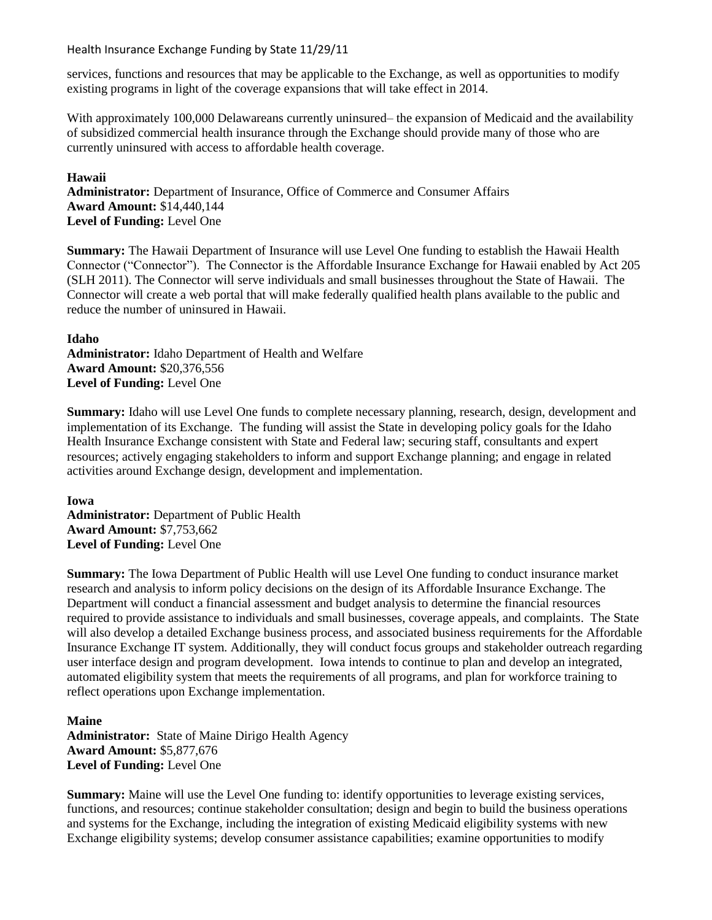services, functions and resources that may be applicable to the Exchange, as well as opportunities to modify existing programs in light of the coverage expansions that will take effect in 2014.

With approximately 100,000 Delawareans currently uninsured– the expansion of Medicaid and the availability of subsidized commercial health insurance through the Exchange should provide many of those who are currently uninsured with access to affordable health coverage.

### **Hawaii**

**Administrator:** Department of Insurance, Office of Commerce and Consumer Affairs **Award Amount:** \$14,440,144 **Level of Funding:** Level One

**Summary:** The Hawaii Department of Insurance will use Level One funding to establish the Hawaii Health Connector ("Connector"). The Connector is the Affordable Insurance Exchange for Hawaii enabled by Act 205 (SLH 2011). The Connector will serve individuals and small businesses throughout the State of Hawaii. The Connector will create a web portal that will make federally qualified health plans available to the public and reduce the number of uninsured in Hawaii.

### **Idaho**

**Administrator:** Idaho Department of Health and Welfare **Award Amount:** \$20,376,556 **Level of Funding:** Level One

**Summary:** Idaho will use Level One funds to complete necessary planning, research, design, development and implementation of its Exchange. The funding will assist the State in developing policy goals for the Idaho Health Insurance Exchange consistent with State and Federal law; securing staff, consultants and expert resources; actively engaging stakeholders to inform and support Exchange planning; and engage in related activities around Exchange design, development and implementation.

**Iowa Administrator:** Department of Public Health **Award Amount:** \$7,753,662 **Level of Funding:** Level One

**Summary:** The Iowa Department of Public Health will use Level One funding to conduct insurance market research and analysis to inform policy decisions on the design of its Affordable Insurance Exchange. The Department will conduct a financial assessment and budget analysis to determine the financial resources required to provide assistance to individuals and small businesses, coverage appeals, and complaints. The State will also develop a detailed Exchange business process, and associated business requirements for the Affordable Insurance Exchange IT system. Additionally, they will conduct focus groups and stakeholder outreach regarding user interface design and program development. Iowa intends to continue to plan and develop an integrated, automated eligibility system that meets the requirements of all programs, and plan for workforce training to reflect operations upon Exchange implementation.

# **Maine**

**Administrator:** State of Maine Dirigo Health Agency **Award Amount:** \$5,877,676 **Level of Funding:** Level One

**Summary:** Maine will use the Level One funding to: identify opportunities to leverage existing services, functions, and resources; continue stakeholder consultation; design and begin to build the business operations and systems for the Exchange, including the integration of existing Medicaid eligibility systems with new Exchange eligibility systems; develop consumer assistance capabilities; examine opportunities to modify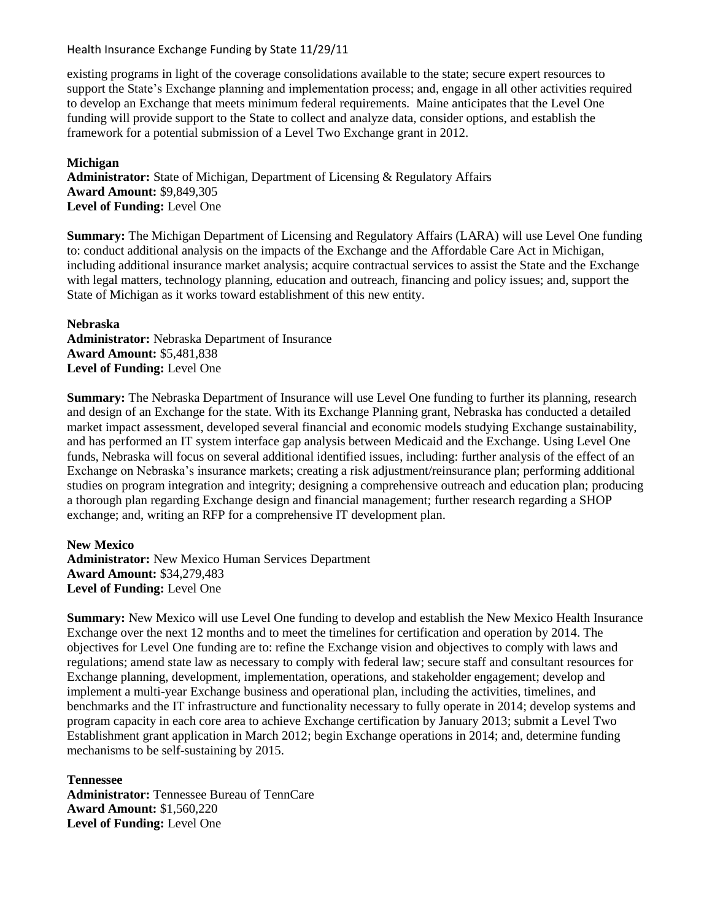existing programs in light of the coverage consolidations available to the state; secure expert resources to support the State's Exchange planning and implementation process; and, engage in all other activities required to develop an Exchange that meets minimum federal requirements. Maine anticipates that the Level One funding will provide support to the State to collect and analyze data, consider options, and establish the framework for a potential submission of a Level Two Exchange grant in 2012.

# **Michigan**

**Administrator:** State of Michigan, Department of Licensing & Regulatory Affairs **Award Amount:** \$9,849,305 **Level of Funding:** Level One

**Summary:** The Michigan Department of Licensing and Regulatory Affairs (LARA) will use Level One funding to: conduct additional analysis on the impacts of the Exchange and the Affordable Care Act in Michigan, including additional insurance market analysis; acquire contractual services to assist the State and the Exchange with legal matters, technology planning, education and outreach, financing and policy issues; and, support the State of Michigan as it works toward establishment of this new entity.

# **Nebraska**

**Administrator:** Nebraska Department of Insurance **Award Amount:** \$5,481,838 **Level of Funding:** Level One

**Summary:** The Nebraska Department of Insurance will use Level One funding to further its planning, research and design of an Exchange for the state. With its Exchange Planning grant, Nebraska has conducted a detailed market impact assessment, developed several financial and economic models studying Exchange sustainability, and has performed an IT system interface gap analysis between Medicaid and the Exchange. Using Level One funds, Nebraska will focus on several additional identified issues, including: further analysis of the effect of an Exchange on Nebraska's insurance markets; creating a risk adjustment/reinsurance plan; performing additional studies on program integration and integrity; designing a comprehensive outreach and education plan; producing a thorough plan regarding Exchange design and financial management; further research regarding a SHOP exchange; and, writing an RFP for a comprehensive IT development plan.

# **New Mexico**

**Administrator:** New Mexico Human Services Department **Award Amount:** \$34,279,483 **Level of Funding:** Level One

**Summary:** New Mexico will use Level One funding to develop and establish the New Mexico Health Insurance Exchange over the next 12 months and to meet the timelines for certification and operation by 2014. The objectives for Level One funding are to: refine the Exchange vision and objectives to comply with laws and regulations; amend state law as necessary to comply with federal law; secure staff and consultant resources for Exchange planning, development, implementation, operations, and stakeholder engagement; develop and implement a multi-year Exchange business and operational plan, including the activities, timelines, and benchmarks and the IT infrastructure and functionality necessary to fully operate in 2014; develop systems and program capacity in each core area to achieve Exchange certification by January 2013; submit a Level Two Establishment grant application in March 2012; begin Exchange operations in 2014; and, determine funding mechanisms to be self-sustaining by 2015.

**Tennessee Administrator:** Tennessee Bureau of TennCare **Award Amount:** \$1,560,220 **Level of Funding:** Level One